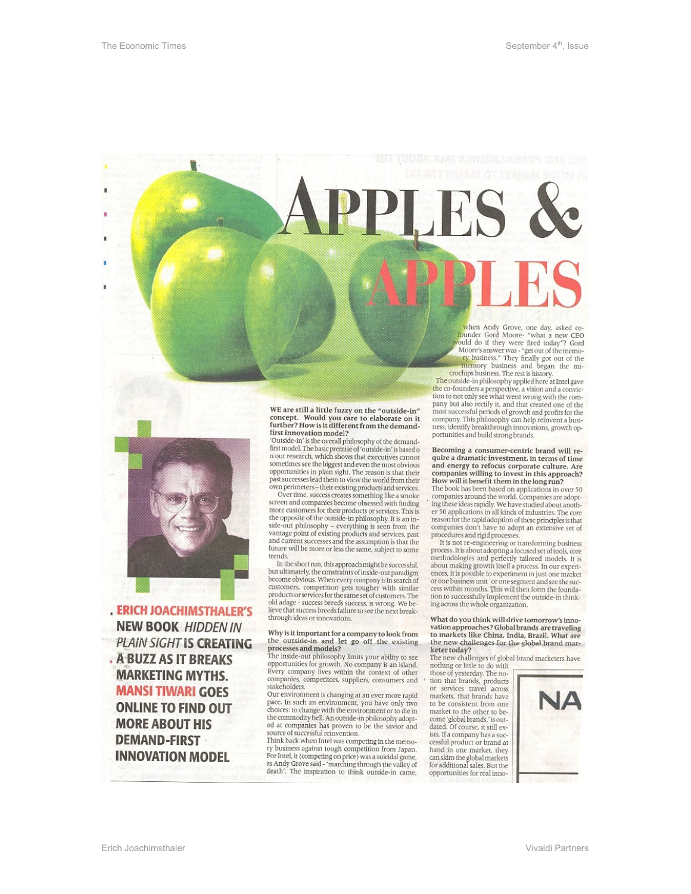

**ERICH JOACHIMSTHALER'S NEW BOOK HIDDEN IN PLAIN SIGHT IS CREATING** . A BUZZ AS IT BREAKS **MARKETING MYTHS. MANSI TIWARI GOES ONLINE TO FIND OUT MORE ABOUT HIS DEMAND-FIRST INNOVATION MODEL** 

WE are still a little fuzzy on the "outside-in" concept. Would you care to elaborate on it further? How is it different from the demand-first innovation model?

That window according to the overall philosophy of the demand-<br>first model. The basic premise of 'outside-in' is based o<br>n our research, which shows that executives cannot sometimes see the biggest and even the most obvious<br>opportunities in plain sight. The reason is that their past successes lead them to view the world from their own perimeters-their existing products and services.

Over time, success creates something like a smoke screen and companies become obsessed with finding<br>more customers for their products or services. This is the opposite of the outside-in philosophy. It is an inare opposite of the outside-in philosophy. It is an in-<br>side-out philosophy – everything is seen from the<br>vantage point of existing products and services, past and current successes and the assumption is that the future will be more or less the same, subject to some trends

In the short run, this approach might be successful,<br>but ultimately, the constraints of inside-out paradigm become obvious. When every company is in search of<br>customers, competition gets tougher with similar products or services for the same set of customers. The<br>old adage - success breeds success, is wrong. We believe that success breeds failure to see the next breakthrough ideas or innovations.

# Why is it important for a company to look from<br>the outside-in and let go off the existing

processes and models?<br>
The inside-out net existing<br>
The inside-out philosophy limits your ability to see<br>
opportunities for growth. No company is an island.<br>
Beery company lives within the context of other companies, competitors, suppliers, consumers and stakeholders.

Our environment is changing at an ever more rapid pace. In such an environment, you have only two<br>choices: to change with the environment or to die in the commodity hell. An outside-in philosophy adopted at companies has proven to be the savior and<br>source of successful reinvention.

Think back when Intel was competing in the memo-ry business against tough competition from Japan. For Intel, it (competing on price) was a suicidal game, as Andy Grove said - 'marching through the valley of death'. The inspiration to think outside-in came,

when Andy Grove, one day, asked co-<br>Jounder Gord Moore- "what a new CEO<br>ould do if they were fired today"? Gord Moore's answer was - "get out of the memory business." They finally got out of the memory business and began the microchips business. The rest is history. The outside-in philosophy applied here at Intel gave

the co-founders a perspective, a vision and a conviction to not only see what went wrong with the company but also rectify it, and that created one of the<br>most successful periods of growth and profits for the company. This philosophy can help reinvent a business, identify breakthrough innovations, growth opportunities and build strong brands.

Becoming a consumer-centric brand will require a dramatic investment, in terms of time<br>and energy to refocus corporate culture. Are companies willing to invest in this approach?<br>How will it benefit them in the long run?<br>The book has been based on applications in over 50

companies around the world. Companies are adopting these ideas rapidly. We have studied about another 50 applications in all kinds of industries. The core reason for the rapid adoption of these principles is that<br>companies don't have to adopt an extensive set of procedures and rigid processes.<br>It is not re-engineering or transforming business

process. It is about adopting a focused set of tools, core<br>methodologies and perfectly tailored models. It is about making growth itself a process. In our experisoou massing grown insels a process. In our experiment<br>eness, it is possible to experiment in just one market<br>or one business unit or one segment and see the success within months. This will then form the founda-<br>tion to s

What do you think will drive tomorrow's innovation approaches? Global brands are traveling<br>to markets like China, India, Brazil. What are the new challenges for the global brand marketer today?

The new challenges of global brand marketers have<br>nothing or little to do with

those of yesterday. The notion that brands, products<br>or services travel across markets, that brands have to be consistent from one market to the other to be-<br>come 'global brands,' is outdated. Of course, it still exists. If a company has a suc-<br>cessful product or brand at hand in one market, they can skim the global markets<br>for additional sales. But the opportunities for real inno-

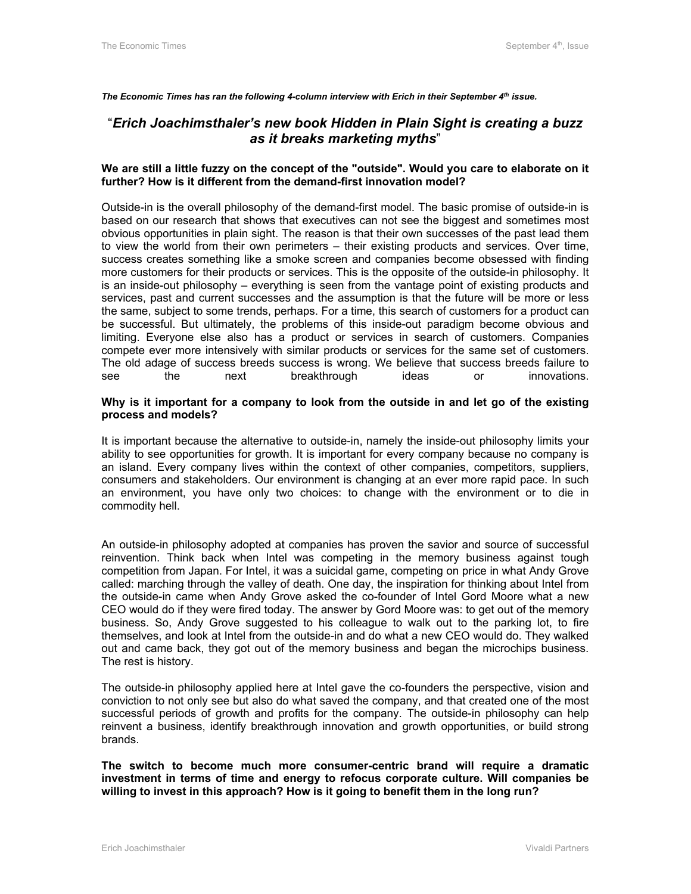*The Economic Times has ran the following 4-column interview with Erich in their September 4th issue.* 

## "*Erich Joachimsthaler's new book Hidden in Plain Sight is creating a buzz as it breaks marketing myths*"

### **We are still a little fuzzy on the concept of the "outside". Would you care to elaborate on it further? How is it different from the demand-first innovation model?**

Outside-in is the overall philosophy of the demand-first model. The basic promise of outside-in is based on our research that shows that executives can not see the biggest and sometimes most obvious opportunities in plain sight. The reason is that their own successes of the past lead them to view the world from their own perimeters – their existing products and services. Over time, success creates something like a smoke screen and companies become obsessed with finding more customers for their products or services. This is the opposite of the outside-in philosophy. It is an inside-out philosophy – everything is seen from the vantage point of existing products and services, past and current successes and the assumption is that the future will be more or less the same, subject to some trends, perhaps. For a time, this search of customers for a product can be successful. But ultimately, the problems of this inside-out paradigm become obvious and limiting. Everyone else also has a product or services in search of customers. Companies compete ever more intensively with similar products or services for the same set of customers. The old adage of success breeds success is wrong. We believe that success breeds failure to see the next breakthrough ideas or innovations.

#### **Why is it important for a company to look from the outside in and let go of the existing process and models?**

It is important because the alternative to outside-in, namely the inside-out philosophy limits your ability to see opportunities for growth. It is important for every company because no company is an island. Every company lives within the context of other companies, competitors, suppliers, consumers and stakeholders. Our environment is changing at an ever more rapid pace. In such an environment, you have only two choices: to change with the environment or to die in commodity hell.

An outside-in philosophy adopted at companies has proven the savior and source of successful reinvention. Think back when Intel was competing in the memory business against tough competition from Japan. For Intel, it was a suicidal game, competing on price in what Andy Grove called: marching through the valley of death. One day, the inspiration for thinking about Intel from the outside-in came when Andy Grove asked the co-founder of Intel Gord Moore what a new CEO would do if they were fired today. The answer by Gord Moore was: to get out of the memory business. So, Andy Grove suggested to his colleague to walk out to the parking lot, to fire themselves, and look at Intel from the outside-in and do what a new CEO would do. They walked out and came back, they got out of the memory business and began the microchips business. The rest is history.

The outside-in philosophy applied here at Intel gave the co-founders the perspective, vision and conviction to not only see but also do what saved the company, and that created one of the most successful periods of growth and profits for the company. The outside-in philosophy can help reinvent a business, identify breakthrough innovation and growth opportunities, or build strong brands.

**The switch to become much more consumer-centric brand will require a dramatic investment in terms of time and energy to refocus corporate culture. Will companies be willing to invest in this approach? How is it going to benefit them in the long run?**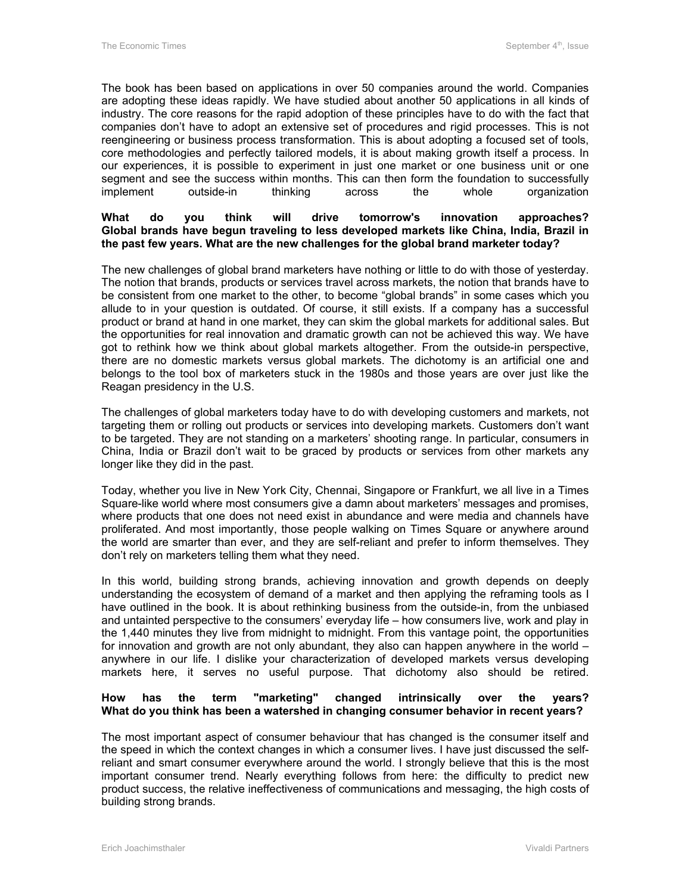The book has been based on applications in over 50 companies around the world. Companies are adopting these ideas rapidly. We have studied about another 50 applications in all kinds of industry. The core reasons for the rapid adoption of these principles have to do with the fact that companies don't have to adopt an extensive set of procedures and rigid processes. This is not reengineering or business process transformation. This is about adopting a focused set of tools, core methodologies and perfectly tailored models, it is about making growth itself a process. In our experiences, it is possible to experiment in just one market or one business unit or one segment and see the success within months. This can then form the foundation to successfully implement outside-in thinking across the whole organization

#### **What do you think will drive tomorrow's innovation approaches? Global brands have begun traveling to less developed markets like China, India, Brazil in the past few years. What are the new challenges for the global brand marketer today?**

The new challenges of global brand marketers have nothing or little to do with those of yesterday. The notion that brands, products or services travel across markets, the notion that brands have to be consistent from one market to the other, to become "global brands" in some cases which you allude to in your question is outdated. Of course, it still exists. If a company has a successful product or brand at hand in one market, they can skim the global markets for additional sales. But the opportunities for real innovation and dramatic growth can not be achieved this way. We have got to rethink how we think about global markets altogether. From the outside-in perspective, there are no domestic markets versus global markets. The dichotomy is an artificial one and belongs to the tool box of marketers stuck in the 1980s and those years are over just like the Reagan presidency in the U.S.

The challenges of global marketers today have to do with developing customers and markets, not targeting them or rolling out products or services into developing markets. Customers don't want to be targeted. They are not standing on a marketers' shooting range. In particular, consumers in China, India or Brazil don't wait to be graced by products or services from other markets any longer like they did in the past.

Today, whether you live in New York City, Chennai, Singapore or Frankfurt, we all live in a Times Square-like world where most consumers give a damn about marketers' messages and promises, where products that one does not need exist in abundance and were media and channels have proliferated. And most importantly, those people walking on Times Square or anywhere around the world are smarter than ever, and they are self-reliant and prefer to inform themselves. They don't rely on marketers telling them what they need.

In this world, building strong brands, achieving innovation and growth depends on deeply understanding the ecosystem of demand of a market and then applying the reframing tools as I have outlined in the book. It is about rethinking business from the outside-in, from the unbiased and untainted perspective to the consumers' everyday life – how consumers live, work and play in the 1,440 minutes they live from midnight to midnight. From this vantage point, the opportunities for innovation and growth are not only abundant, they also can happen anywhere in the world – anywhere in our life. I dislike your characterization of developed markets versus developing markets here, it serves no useful purpose. That dichotomy also should be retired.

### **How has the term "marketing" changed intrinsically over the years? What do you think has been a watershed in changing consumer behavior in recent years?**

The most important aspect of consumer behaviour that has changed is the consumer itself and the speed in which the context changes in which a consumer lives. I have just discussed the selfreliant and smart consumer everywhere around the world. I strongly believe that this is the most important consumer trend. Nearly everything follows from here: the difficulty to predict new product success, the relative ineffectiveness of communications and messaging, the high costs of building strong brands.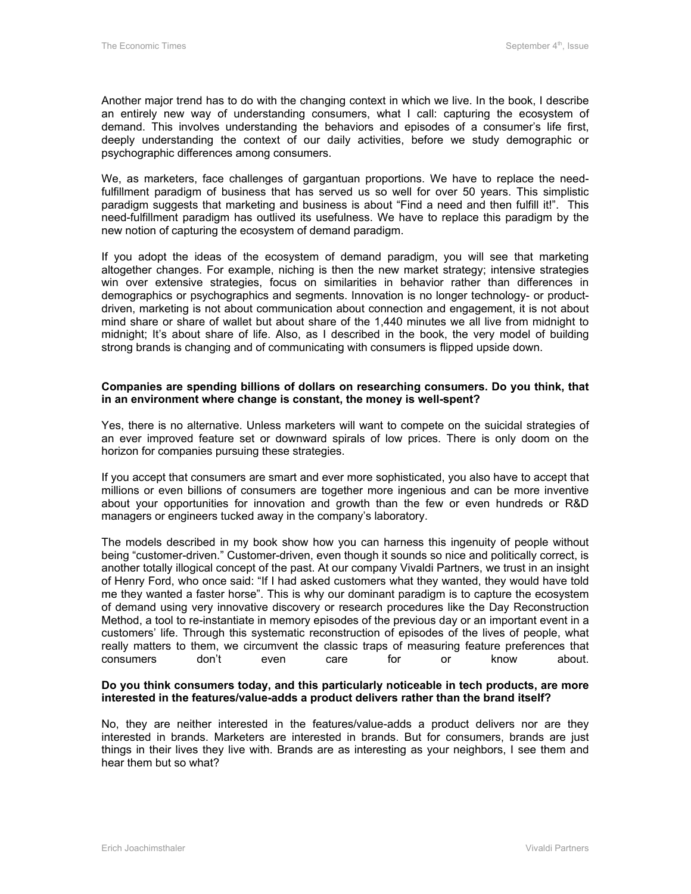Another major trend has to do with the changing context in which we live. In the book, I describe an entirely new way of understanding consumers, what I call: capturing the ecosystem of demand. This involves understanding the behaviors and episodes of a consumer's life first, deeply understanding the context of our daily activities, before we study demographic or psychographic differences among consumers.

We, as marketers, face challenges of gargantuan proportions. We have to replace the needfulfillment paradigm of business that has served us so well for over 50 years. This simplistic paradigm suggests that marketing and business is about "Find a need and then fulfill it!". This need-fulfillment paradigm has outlived its usefulness. We have to replace this paradigm by the new notion of capturing the ecosystem of demand paradigm.

If you adopt the ideas of the ecosystem of demand paradigm, you will see that marketing altogether changes. For example, niching is then the new market strategy; intensive strategies win over extensive strategies, focus on similarities in behavior rather than differences in demographics or psychographics and segments. Innovation is no longer technology- or productdriven, marketing is not about communication about connection and engagement, it is not about mind share or share of wallet but about share of the 1,440 minutes we all live from midnight to midnight; It's about share of life. Also, as I described in the book, the very model of building strong brands is changing and of communicating with consumers is flipped upside down.

#### **Companies are spending billions of dollars on researching consumers. Do you think, that in an environment where change is constant, the money is well-spent?**

Yes, there is no alternative. Unless marketers will want to compete on the suicidal strategies of an ever improved feature set or downward spirals of low prices. There is only doom on the horizon for companies pursuing these strategies.

If you accept that consumers are smart and ever more sophisticated, you also have to accept that millions or even billions of consumers are together more ingenious and can be more inventive about your opportunities for innovation and growth than the few or even hundreds or R&D managers or engineers tucked away in the company's laboratory.

The models described in my book show how you can harness this ingenuity of people without being "customer-driven." Customer-driven, even though it sounds so nice and politically correct, is another totally illogical concept of the past. At our company Vivaldi Partners, we trust in an insight of Henry Ford, who once said: "If I had asked customers what they wanted, they would have told me they wanted a faster horse". This is why our dominant paradigm is to capture the ecosystem of demand using very innovative discovery or research procedures like the Day Reconstruction Method, a tool to re-instantiate in memory episodes of the previous day or an important event in a customers' life. Through this systematic reconstruction of episodes of the lives of people, what really matters to them, we circumvent the classic traps of measuring feature preferences that consumers don't even care for or know about.

#### **Do you think consumers today, and this particularly noticeable in tech products, are more interested in the features/value-adds a product delivers rather than the brand itself?**

No, they are neither interested in the features/value-adds a product delivers nor are they interested in brands. Marketers are interested in brands. But for consumers, brands are just things in their lives they live with. Brands are as interesting as your neighbors, I see them and hear them but so what?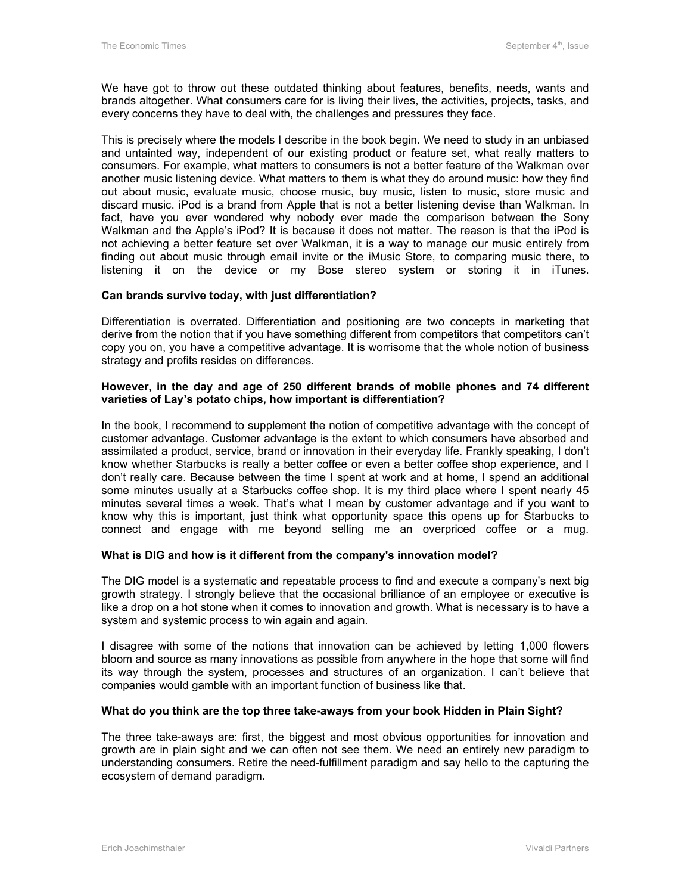We have got to throw out these outdated thinking about features, benefits, needs, wants and brands altogether. What consumers care for is living their lives, the activities, projects, tasks, and every concerns they have to deal with, the challenges and pressures they face.

This is precisely where the models I describe in the book begin. We need to study in an unbiased and untainted way, independent of our existing product or feature set, what really matters to consumers. For example, what matters to consumers is not a better feature of the Walkman over another music listening device. What matters to them is what they do around music: how they find out about music, evaluate music, choose music, buy music, listen to music, store music and discard music. iPod is a brand from Apple that is not a better listening devise than Walkman. In fact, have you ever wondered why nobody ever made the comparison between the Sony Walkman and the Apple's iPod? It is because it does not matter. The reason is that the iPod is not achieving a better feature set over Walkman, it is a way to manage our music entirely from finding out about music through email invite or the iMusic Store, to comparing music there, to listening it on the device or my Bose stereo system or storing it in iTunes.

### **Can brands survive today, with just differentiation?**

Differentiation is overrated. Differentiation and positioning are two concepts in marketing that derive from the notion that if you have something different from competitors that competitors can't copy you on, you have a competitive advantage. It is worrisome that the whole notion of business strategy and profits resides on differences.

#### **However, in the day and age of 250 different brands of mobile phones and 74 different varieties of Lay's potato chips, how important is differentiation?**

In the book, I recommend to supplement the notion of competitive advantage with the concept of customer advantage. Customer advantage is the extent to which consumers have absorbed and assimilated a product, service, brand or innovation in their everyday life. Frankly speaking, I don't know whether Starbucks is really a better coffee or even a better coffee shop experience, and I don't really care. Because between the time I spent at work and at home, I spend an additional some minutes usually at a Starbucks coffee shop. It is my third place where I spent nearly 45 minutes several times a week. That's what I mean by customer advantage and if you want to know why this is important, just think what opportunity space this opens up for Starbucks to connect and engage with me beyond selling me an overpriced coffee or a mug.

### **What is DIG and how is it different from the company's innovation model?**

The DIG model is a systematic and repeatable process to find and execute a company's next big growth strategy. I strongly believe that the occasional brilliance of an employee or executive is like a drop on a hot stone when it comes to innovation and growth. What is necessary is to have a system and systemic process to win again and again.

I disagree with some of the notions that innovation can be achieved by letting 1,000 flowers bloom and source as many innovations as possible from anywhere in the hope that some will find its way through the system, processes and structures of an organization. I can't believe that companies would gamble with an important function of business like that.

### **What do you think are the top three take-aways from your book Hidden in Plain Sight?**

The three take-aways are: first, the biggest and most obvious opportunities for innovation and growth are in plain sight and we can often not see them. We need an entirely new paradigm to understanding consumers. Retire the need-fulfillment paradigm and say hello to the capturing the ecosystem of demand paradigm.